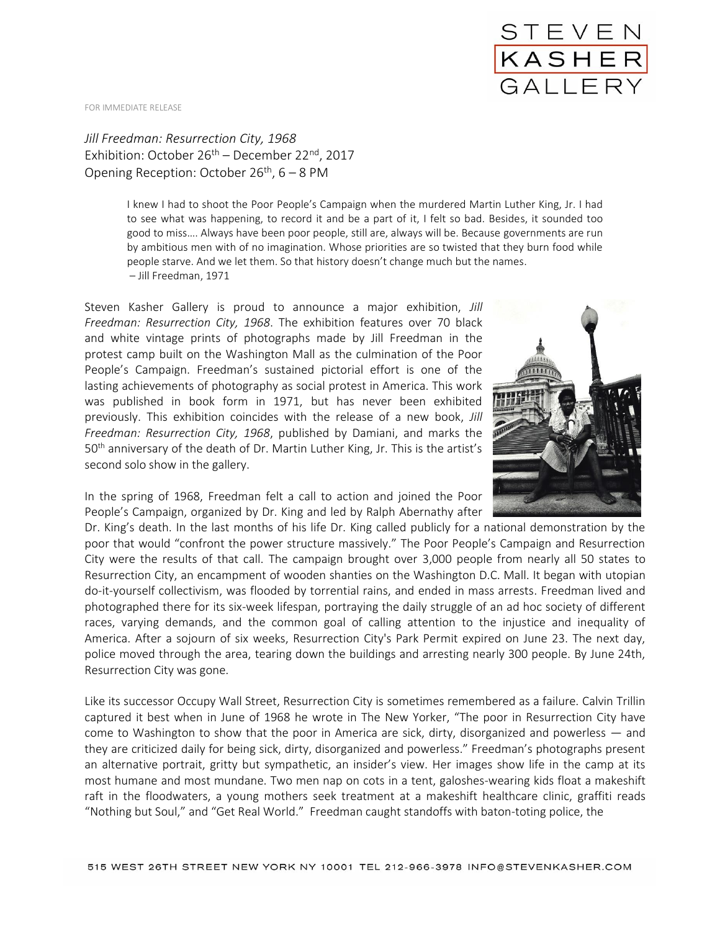FOR IMMEDIATE RELEASE

*Jill Freedman: Resurrection City, 1968* Exhibition: October 26<sup>th</sup> – December 22<sup>nd</sup>, 2017 Opening Reception: October 26<sup>th</sup>, 6 – 8 PM

> I knew I had to shoot the Poor People's Campaign when the murdered Martin Luther King, Jr. I had to see what was happening, to record it and be a part of it, I felt so bad. Besides, it sounded too good to miss…. Always have been poor people, still are, always will be. Because governments are run by ambitious men with of no imagination. Whose priorities are so twisted that they burn food while people starve. And we let them. So that history doesn't change much but the names. – Jill Freedman, 1971

Steven Kasher Gallery is proud to announce a major exhibition, *Jill Freedman: Resurrection City, 1968*. The exhibition features over 70 black and white vintage prints of photographs made by Jill Freedman in the protest camp built on the Washington Mall as the culmination of the Poor People's Campaign. Freedman's sustained pictorial effort is one of the lasting achievements of photography as social protest in America. This work was published in book form in 1971, but has never been exhibited previously. This exhibition coincides with the release of a new book, *Jill Freedman: Resurrection City, 1968*, published by Damiani, and marks the 50<sup>th</sup> anniversary of the death of Dr. Martin Luther King, Jr. This is the artist's second solo show in the gallery.

In the spring of 1968, Freedman felt a call to action and joined the Poor People's Campaign, organized by Dr. King and led by Ralph Abernathy after

Dr. King's death. In the last months of his life Dr. King called publicly for a national demonstration by the poor that would "confront the power structure massively." The Poor People's Campaign and Resurrection City were the results of that call. The campaign brought over 3,000 people from nearly all 50 states to Resurrection City, an encampment of wooden shanties on the Washington D.C. Mall. It began with utopian do-it-yourself collectivism, was flooded by torrential rains, and ended in mass arrests. Freedman lived and photographed there for its six-week lifespan, portraying the daily struggle of an ad hoc society of different races, varying demands, and the common goal of calling attention to the injustice and inequality of America. After a sojourn of six weeks, Resurrection City's Park Permit expired on June 23. The next day, police moved through the area, tearing down the buildings and arresting nearly 300 people. By June 24th, Resurrection City was gone.

Like its successor Occupy Wall Street, Resurrection City is sometimes remembered as a failure. Calvin Trillin captured it best when in June of 1968 he wrote in The New Yorker, "The poor in Resurrection City have come to Washington to show that the poor in America are sick, dirty, disorganized and powerless — and they are criticized daily for being sick, dirty, disorganized and powerless." Freedman's photographs present an alternative portrait, gritty but sympathetic, an insider's view. Her images show life in the camp at its most humane and most mundane. Two men nap on cots in a tent, galoshes-wearing kids float a makeshift raft in the floodwaters, a young mothers seek treatment at a makeshift healthcare clinic, graffiti reads "Nothing but Soul," and "Get Real World." Freedman caught standoffs with baton-toting police, the